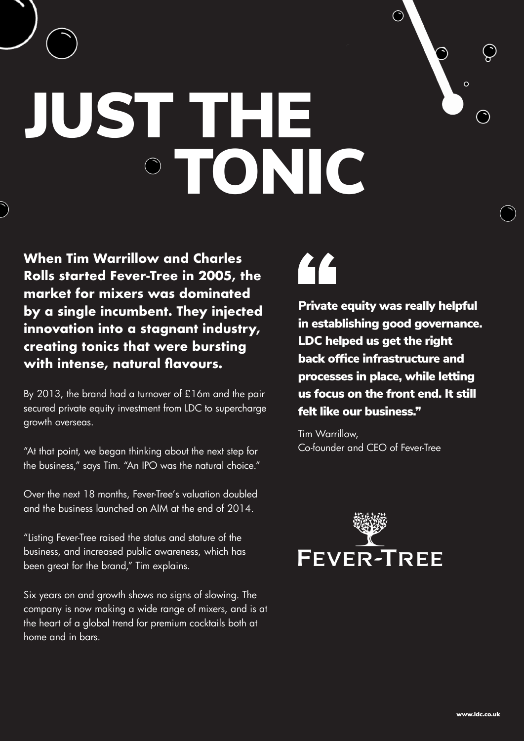# JUST THE TONIC

**When Tim Warrillow and Charles Rolls started Fever-Tree in 2005, the market for mixers was dominated by a single incumbent. They injected innovation into a stagnant industry, creating tonics that were bursting with intense, natural flavours.** 

By 2013, the brand had a turnover of £16m and the pair secured private equity investment from LDC to supercharge growth overseas.

"At that point, we began thinking about the next step for the business," says Tim. "An IPO was the natural choice."

Over the next 18 months, Fever-Tree's valuation doubled and the business launched on AIM at the end of 2014.

"Listing Fever-Tree raised the status and stature of the business, and increased public awareness, which has been great for the brand," Tim explains.

Six years on and growth shows no signs of slowing. The company is now making a wide range of mixers, and is at the heart of a global trend for premium cocktails both at home and in bars.

## $\mathbf{C}$

Private equity was really helpful in establishing good governance. LDC helped us get the right back office infrastructure and processes in place, while letting us focus on the front end. It still felt like our business."

 $\odot$ 

Tim Warrillow, Co-founder and CEO of Fever-Tree